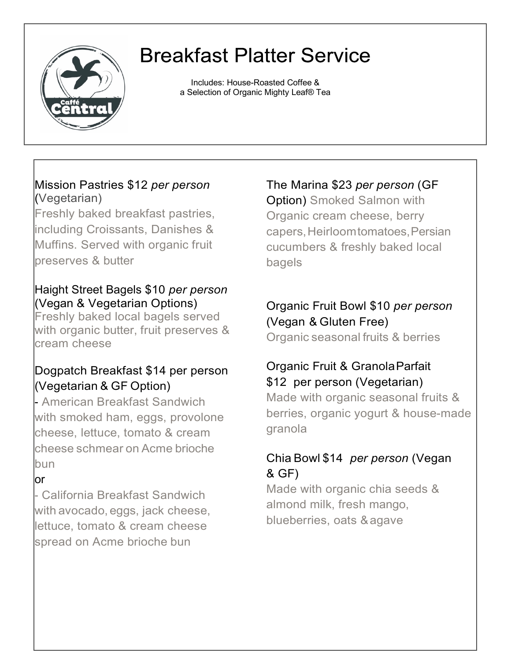

## **Breakfast Platter Service**

Includes: House-Roasted Coffee & a Selection of Organic Mighty Leaf® Tea

#### Mission Pastries \$12 *per person* (Vegetarian)

Freshly baked breakfast pastries, including Croissants, Danishes & Muffins. Served with organic fruit preserves & butter

#### Haight Street Bagels \$10 *per person* (Vegan & Vegetarian Options)

Freshly baked local bagels served with organic butter, fruit preserves & cream cheese

## Dogpatch Breakfast \$14 per person (Vegetarian & GF Option)

- American Breakfast Sandwich with smoked ham, eggs, provolone cheese, lettuce, tomato & cream cheese schmear on Acme brioche bun

## or

- California Breakfast Sandwich with avocado, eggs, jack cheese, lettuce, tomato & cream cheese spread on Acme brioche bun

The Marina \$23 *per person* (GF

Option) Smoked Salmon with Organic cream cheese, berry capers,Heirloomtomatoes,Persian cucumbers & freshly baked local bagels

## Organic Fruit Bowl \$10 *per person* (Vegan & Gluten Free)

Organic seasonal fruits & berries

#### Organic Fruit & GranolaParfait \$12 per person (Vegetarian)

Made with organic seasonal fruits & berries, organic yogurt & house-made granola

## Chia Bowl \$14 *per person* (Vegan & GF)

Made with organic chia seeds & almond milk, fresh mango, blueberries, oats &agave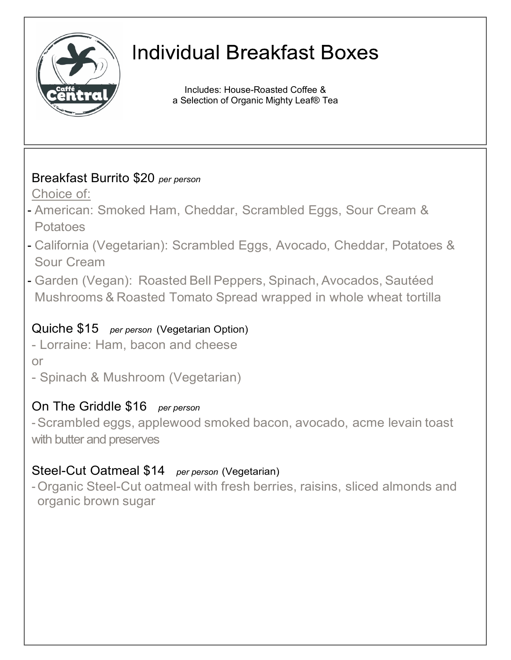

## **Individual Breakfast Boxes**

Includes: House-Roasted Coffee & a Selection of Organic Mighty Leaf® Tea

## Breakfast Burrito \$20 *per person*

Choice of:

- American: Smoked Ham, Cheddar, Scrambled Eggs, Sour Cream & **Potatoes**
- California (Vegetarian): Scrambled Eggs, Avocado, Cheddar, Potatoes & Sour Cream
- Garden (Vegan): Roasted Bell Peppers, Spinach, Avocados, Sautéed Mushrooms & Roasted Tomato Spread wrapped in whole wheat tortilla

## Quiche \$15 *per person* (Vegetarian Option)

- Lorraine: Ham, bacon and cheese

or

- Spinach & Mushroom (Vegetarian)

## On The Griddle \$16 *per person*

-Scrambled eggs, applewood smoked bacon, avocado, acme levain toast with butter and preserves

## Steel-Cut Oatmeal \$14 *per person* (Vegetarian)

-Organic Steel-Cut oatmeal with fresh berries, raisins, sliced almonds and organic brown sugar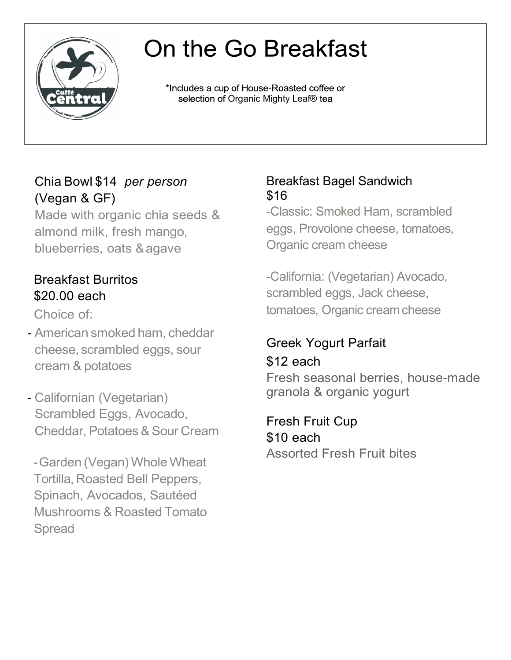

# On the Go Breakfast

\*Includes a cup of House-Roasted coffee or selection of Organic Mighty Leaf® tea

## Chia Bowl \$14 *per person* (Vegan & GF)

Made with organic chia seeds & almond milk, fresh mango, blueberries, oats &agave

## Breakfast Burritos \$20.00 each

Choice of:

- American smoked ham, cheddar cheese, scrambled eggs, sour cream & potatoes
- Californian (Vegetarian) Scrambled Eggs, Avocado, Cheddar, Potatoes& Sour Cream

-Garden (Vegan) Whole Wheat Tortilla, Roasted Bell Peppers, Spinach, Avocados, Sautéed Mushrooms & Roasted Tomato Spread

#### Breakfast Bagel Sandwich \$16

-Classic: Smoked Ham, scrambled eggs, Provolone cheese, tomatoes, Organic cream cheese

-California: (Vegetarian) Avocado, scrambled eggs, Jack cheese, tomatoes, Organic cream cheese

## Greek Yogurt Parfait  $$12$  each

Fresh seasonal berries, house-made granola & organic yogurt

Fresh Fruit Cup \$10 each Assorted Fresh Fruit bites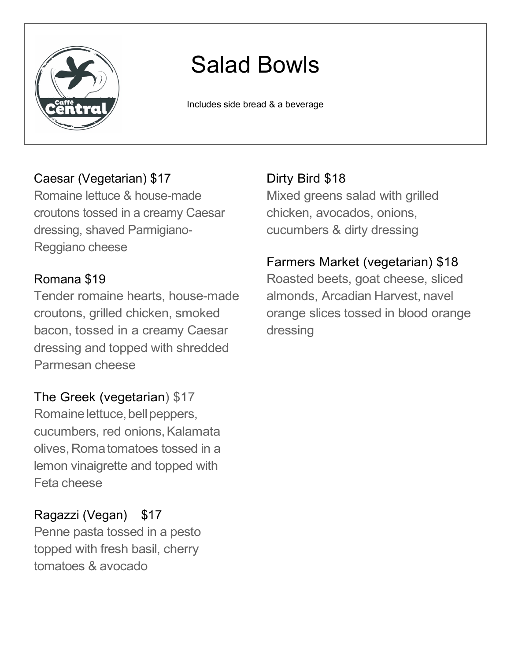

# Salad Bowls

Includes side bread & a beverage

#### Caesar (Vegetarian) \$17

Romaine lettuce & house-made croutons tossed in a creamy Caesar dressing, shaved Parmigiano-Reggiano cheese

#### Romana \$19

Tender romaine hearts, house-made croutons, grilled chicken, smoked bacon, tossed in a creamy Caesar dressing and topped with shredded Parmesan cheese

The Greek (vegetarian) \$17 Romaine lettuce, bell peppers, cucumbers, red onions, Kalamata olives, Roma tomatoes tossed in a lemon vinaigrette and topped with Feta cheese

## Ragazzi (Vegan) \$17

Penne pasta tossed in a pesto topped with fresh basil, cherry tomatoes & avocado

Dirty Bird \$18 Mixed greens salad with grilled chicken, avocados, onions, cucumbers & dirty dressing

## Farmers Market (vegetarian) \$18

Roasted beets, goat cheese, sliced almonds, Arcadian Harvest, navel orange slices tossed in blood orange dressing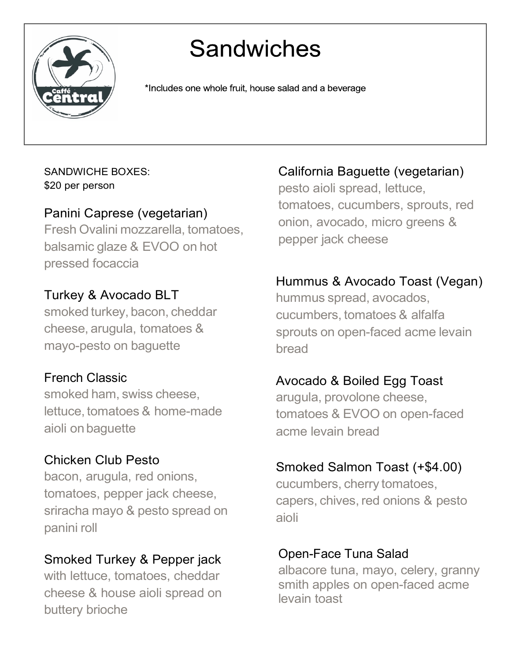

# **Sandwiches**

\*Includes one whole fruit, house salad and a beverage

#### SANDWICHE BOXES: \$20 per person

## Panini Caprese (vegetarian)

Fresh Ovalini mozzarella, tomatoes, balsamic glaze & EVOO on hot pressed focaccia

## Turkey & Avocado BLT

smoked turkey, bacon, cheddar cheese, arugula, tomatoes & mayo-pesto on baguette

## French Classic

smoked ham, swiss cheese, lettuce, tomatoes & home-made aioli onbaguette

## Chicken Club Pesto

bacon, arugula, red onions, tomatoes, pepper jack cheese, sriracha mayo & pesto spread on panini roll

## Smoked Turkey & Pepper jack

with lettuce, tomatoes, cheddar cheese & house aioli spread on buttery brioche

## California Baguette (vegetarian)

pesto aioli spread, lettuce, tomatoes, cucumbers, sprouts, red onion, avocado, micro greens & pepper jack cheese

## Hummus & Avocado Toast (Vegan)

hummus spread, avocados, cucumbers, tomatoes & alfalfa sprouts on open-faced acme levain bread

#### Avocado & Boiled Egg Toast

arugula, provolone cheese, tomatoes & EVOO on open-faced acme levain bread

#### Smoked Salmon Toast (+\$4.00)

cucumbers, cherry tomatoes, capers, chives, red onions & pesto aioli

#### Open-Face Tuna Salad

albacore tuna, mayo, celery, granny smith apples on open-faced acme levain toast